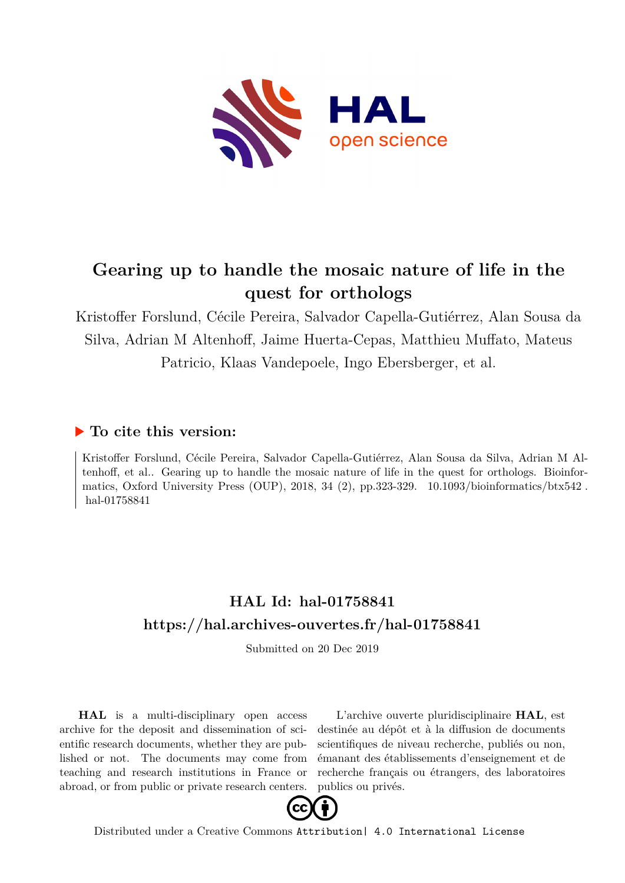

# **Gearing up to handle the mosaic nature of life in the quest for orthologs**

Kristoffer Forslund, Cécile Pereira, Salvador Capella-Gutiérrez, Alan Sousa da Silva, Adrian M Altenhoff, Jaime Huerta-Cepas, Matthieu Muffato, Mateus Patricio, Klaas Vandepoele, Ingo Ebersberger, et al.

# **To cite this version:**

Kristoffer Forslund, Cécile Pereira, Salvador Capella-Gutiérrez, Alan Sousa da Silva, Adrian M Altenhoff, et al.. Gearing up to handle the mosaic nature of life in the quest for orthologs. Bioinformatics, Oxford University Press (OUP), 2018, 34 (2), pp.323-329.  $10.1093/bioinformatics/btx542$ . hal-01758841

# **HAL Id: hal-01758841 <https://hal.archives-ouvertes.fr/hal-01758841>**

Submitted on 20 Dec 2019

**HAL** is a multi-disciplinary open access archive for the deposit and dissemination of scientific research documents, whether they are published or not. The documents may come from teaching and research institutions in France or abroad, or from public or private research centers.

L'archive ouverte pluridisciplinaire **HAL**, est destinée au dépôt et à la diffusion de documents scientifiques de niveau recherche, publiés ou non, émanant des établissements d'enseignement et de recherche français ou étrangers, des laboratoires publics ou privés.



Distributed under a Creative Commons [Attribution| 4.0 International License](http://creativecommons.org/licenses/by/4.0/)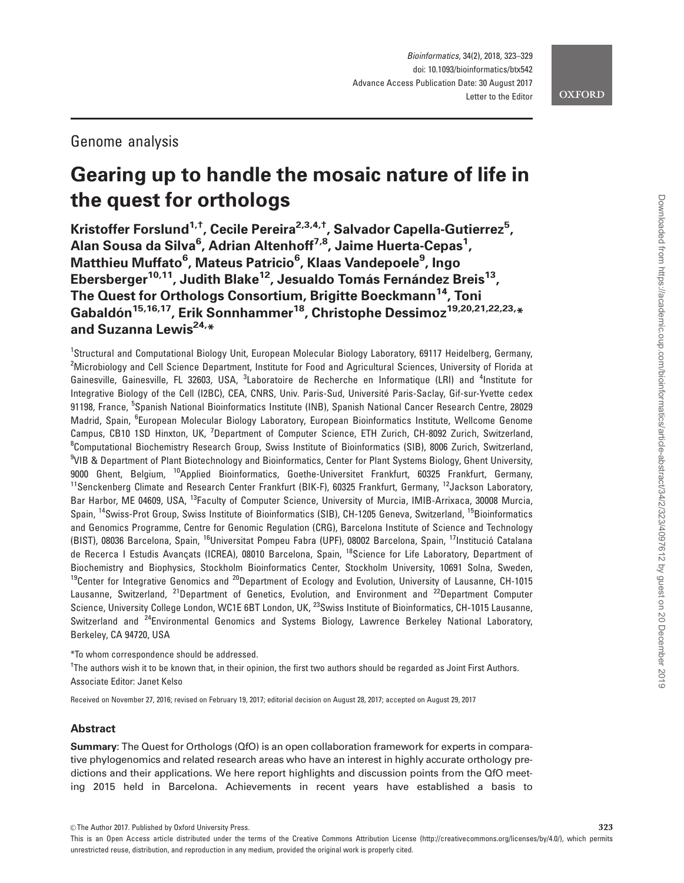# Genome analysis

# Gearing up to handle the mosaic nature of life in the quest for orthologs

Kristoffer Forslund<sup>1,†</sup>, Cecile Pereira<sup>2,3,4,†</sup>, Salvador Capella-Gutierrez<sup>5</sup>, Alan Sousa da Silva<sup>6</sup>, Adrian Altenhoff<sup>7,8</sup>, Jaime Huerta-Cepas<sup>1</sup>, Matthieu Muffato<sup>6</sup>, Mateus Patricio<sup>6</sup>, Klaas Vandepoele<sup>9</sup>, Ingo Ebersberger<sup>10,11</sup>, Judith Blake<sup>12</sup>, Jesualdo Tomás Fernández Breis<sup>13</sup>, The Quest for Orthologs Consortium, Brigitte Boeckmann<sup>14</sup>, Toni Gabaldón<sup>15,16,17</sup>, Erik Sonnhammer<sup>18</sup>, Christophe Dessimoz<sup>19,20,21,22,23,\*</sup> and Suzanna Lewis<sup>24,\*</sup>

<sup>1</sup>Structural and Computational Biology Unit, European Molecular Biology Laboratory, 69117 Heidelberg, Germany, <sup>2</sup>Microbiology and Cell Science Department, Institute for Food and Agricultural Sciences, University of Florida at Gainesville, Gainesville, FL 32603, USA, <sup>3</sup>Laboratoire de Recherche en Informatique (LRI) and <sup>4</sup>Institute for Integrative Biology of the Cell (I2BC), CEA, CNRS, Univ. Paris-Sud, Universite´ Paris-Saclay, Gif-sur-Yvette cedex 91198, France, <sup>5</sup>Spanish National Bioinformatics Institute (INB), Spanish National Cancer Research Centre, 28029 Madrid, Spain, <sup>6</sup>European Molecular Biology Laboratory, European Bioinformatics Institute, Wellcome Genome Campus, CB10 1SD Hinxton, UK, <sup>7</sup>Department of Computer Science, ETH Zurich, CH-8092 Zurich, Switzerland, <sup>8</sup>Computational Biochemistry Research Group, Swiss Institute of Bioinformatics (SIB), 8006 Zurich, Switzerland, 9 VIB & Department of Plant Biotechnology and Bioinformatics, Center for Plant Systems Biology, Ghent University, 9000 Ghent, Belgium, <sup>10</sup>Applied Bioinformatics, Goethe-Universitet Frankfurt, 60325 Frankfurt, Germany, <sup>11</sup>Senckenberg Climate and Research Center Frankfurt (BIK-F), 60325 Frankfurt, Germany, <sup>12</sup>Jackson Laboratory, Bar Harbor, ME 04609, USA, 13Faculty of Computer Science, University of Murcia, IMIB-Arrixaca, 30008 Murcia, Spain, 14Swiss-Prot Group, Swiss Institute of Bioinformatics (SIB), CH-1205 Geneva, Switzerland, 15Bioinformatics and Genomics Programme, Centre for Genomic Regulation (CRG), Barcelona Institute of Science and Technology (BIST), 08036 Barcelona, Spain, <sup>16</sup>Universitat Pompeu Fabra (UPF), 08002 Barcelona, Spain, <sup>17</sup>Institució Catalana de Recerca I Estudis Avançats (ICREA), 08010 Barcelona, Spain, <sup>18</sup>Science for Life Laboratory, Department of Biochemistry and Biophysics, Stockholm Bioinformatics Center, Stockholm University, 10691 Solna, Sweden,  $19$ Center for Integrative Genomics and  $20$ Department of Ecology and Evolution, University of Lausanne, CH-1015 Lausanne, Switzerland, <sup>21</sup>Department of Genetics, Evolution, and Environment and <sup>22</sup>Department Computer Science, University College London, WC1E 6BT London, UK, <sup>23</sup>Swiss Institute of Bioinformatics, CH-1015 Lausanne, Switzerland and <sup>24</sup>Environmental Genomics and Systems Biology, Lawrence Berkeley National Laboratory, Berkeley, CA 94720, USA

\*To whom correspondence should be addressed.

† The authors wish it to be known that, in their opinion, the first two authors should be regarded as Joint First Authors. Associate Editor: Janet Kelso

Received on November 27, 2016; revised on February 19, 2017; editorial decision on August 28, 2017; accepted on August 29, 2017

# Abstract

Summary: The Quest for Orthologs (QfO) is an open collaboration framework for experts in comparative phylogenomics and related research areas who have an interest in highly accurate orthology predictions and their applications. We here report highlights and discussion points from the QfO meeting 2015 held in Barcelona. Achievements in recent years have established a basis to

 $\heartsuit$ The Author 2017. Published by Oxford University Press.  $323$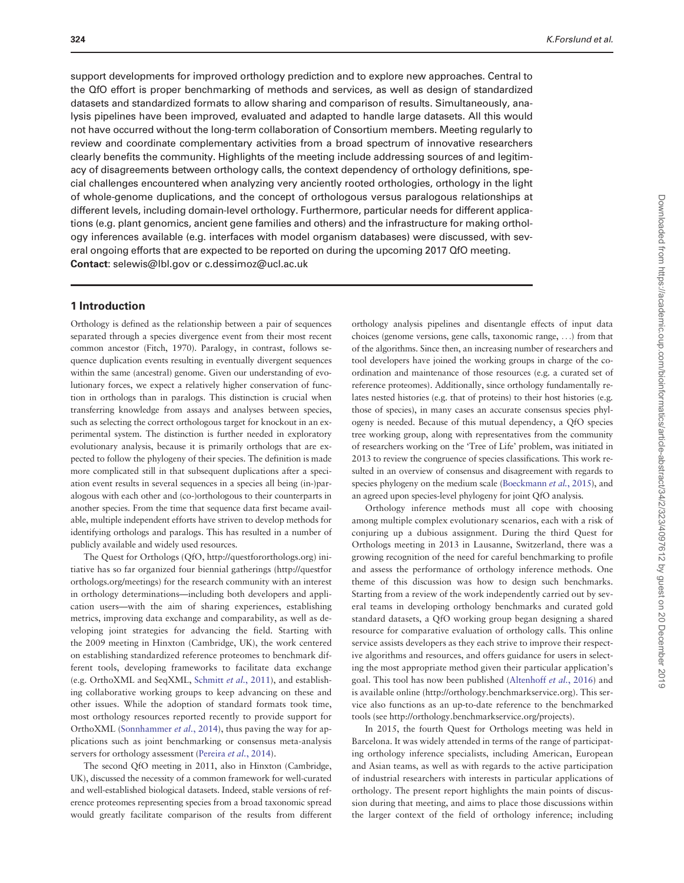support developments for improved orthology prediction and to explore new approaches. Central to the QfO effort is proper benchmarking of methods and services, as well as design of standardized datasets and standardized formats to allow sharing and comparison of results. Simultaneously, analysis pipelines have been improved, evaluated and adapted to handle large datasets. All this would not have occurred without the long-term collaboration of Consortium members. Meeting regularly to review and coordinate complementary activities from a broad spectrum of innovative researchers clearly benefits the community. Highlights of the meeting include addressing sources of and legitimacy of disagreements between orthology calls, the context dependency of orthology definitions, special challenges encountered when analyzing very anciently rooted orthologies, orthology in the light of whole-genome duplications, and the concept of orthologous versus paralogous relationships at different levels, including domain-level orthology. Furthermore, particular needs for different applications (e.g. plant genomics, ancient gene families and others) and the infrastructure for making orthology inferences available (e.g. interfaces with model organism databases) were discussed, with several ongoing efforts that are expected to be reported on during the upcoming 2017 QfO meeting. Contact: selewis@lbl.gov or c.dessimoz@ucl.ac.uk

#### 1 Introduction

Orthology is defined as the relationship between a pair of sequences separated through a species divergence event from their most recent common ancestor (Fitch, 1970). Paralogy, in contrast, follows sequence duplication events resulting in eventually divergent sequences within the same (ancestral) genome. Given our understanding of evolutionary forces, we expect a relatively higher conservation of function in orthologs than in paralogs. This distinction is crucial when transferring knowledge from assays and analyses between species, such as selecting the correct orthologous target for knockout in an experimental system. The distinction is further needed in exploratory evolutionary analysis, because it is primarily orthologs that are expected to follow the phylogeny of their species. The definition is made more complicated still in that subsequent duplications after a speciation event results in several sequences in a species all being (in-)paralogous with each other and (co-)orthologous to their counterparts in another species. From the time that sequence data first became available, multiple independent efforts have striven to develop methods for identifying orthologs and paralogs. This has resulted in a number of publicly available and widely used resources.

The Quest for Orthologs (QfO, [http://questfororthologs.org\)](http://questfororthologs.org) initiative has so far organized four biennial gatherings [\(http://questfor](http://questfororthologs.org/meetings) [orthologs.org/meetings\)](http://questfororthologs.org/meetings) for the research community with an interest in orthology determinations—including both developers and application users—with the aim of sharing experiences, establishing metrics, improving data exchange and comparability, as well as developing joint strategies for advancing the field. Starting with the 2009 meeting in Hinxton (Cambridge, UK), the work centered on establishing standardized reference proteomes to benchmark different tools, developing frameworks to facilitate data exchange (e.g. OrthoXML and SeqXML, Schmitt et al., 2011), and establishing collaborative working groups to keep advancing on these and other issues. While the adoption of standard formats took time, most orthology resources reported recently to provide support for OrthoXML (Sonnhammer et al., 2014), thus paving the way for applications such as joint benchmarking or consensus meta-analysis servers for orthology assessment (Pereira et al., 2014).

The second QfO meeting in 2011, also in Hinxton (Cambridge, UK), discussed the necessity of a common framework for well-curated and well-established biological datasets. Indeed, stable versions of reference proteomes representing species from a broad taxonomic spread would greatly facilitate comparison of the results from different orthology analysis pipelines and disentangle effects of input data choices (genome versions, gene calls, taxonomic range, ...) from that of the algorithms. Since then, an increasing number of researchers and tool developers have joined the working groups in charge of the coordination and maintenance of those resources (e.g. a curated set of reference proteomes). Additionally, since orthology fundamentally relates nested histories (e.g. that of proteins) to their host histories (e.g. those of species), in many cases an accurate consensus species phylogeny is needed. Because of this mutual dependency, a QfO species tree working group, along with representatives from the community of researchers working on the 'Tree of Life' problem, was initiated in 2013 to review the congruence of species classifications. This work resulted in an overview of consensus and disagreement with regards to species phylogeny on the medium scale (Boeckmann et al., 2015), and an agreed upon species-level phylogeny for joint QfO analysis.

Orthology inference methods must all cope with choosing among multiple complex evolutionary scenarios, each with a risk of conjuring up a dubious assignment. During the third Quest for Orthologs meeting in 2013 in Lausanne, Switzerland, there was a growing recognition of the need for careful benchmarking to profile and assess the performance of orthology inference methods. One theme of this discussion was how to design such benchmarks. Starting from a review of the work independently carried out by several teams in developing orthology benchmarks and curated gold standard datasets, a QfO working group began designing a shared resource for comparative evaluation of orthology calls. This online service assists developers as they each strive to improve their respective algorithms and resources, and offers guidance for users in selecting the most appropriate method given their particular application's goal. This tool has now been published (Altenhoff et al., 2016) and is available online ([http://orthology.benchmarkservice.org\)](http://orthology.benchmarkservice.org). This service also functions as an up-to-date reference to the benchmarked tools (see [http://orthology.benchmarkservice.org/projects\)](http://orthology.benchmarkservice.org/projects).

In 2015, the fourth Quest for Orthologs meeting was held in Barcelona. It was widely attended in terms of the range of participating orthology inference specialists, including American, European and Asian teams, as well as with regards to the active participation of industrial researchers with interests in particular applications of orthology. The present report highlights the main points of discussion during that meeting, and aims to place those discussions within the larger context of the field of orthology inference; including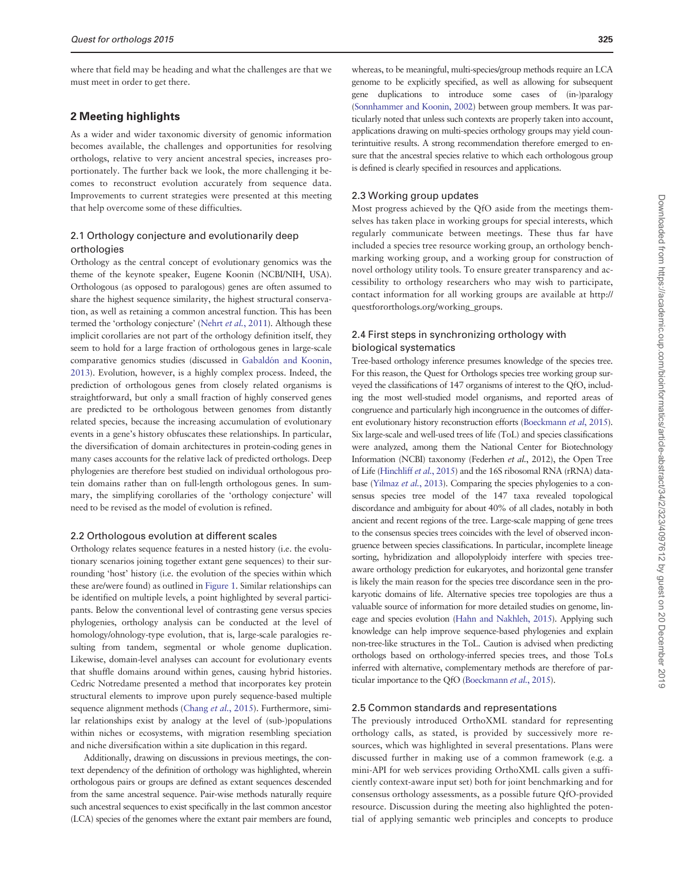where that field may be heading and what the challenges are that we must meet in order to get there.

#### 2 Meeting highlights

As a wider and wider taxonomic diversity of genomic information becomes available, the challenges and opportunities for resolving orthologs, relative to very ancient ancestral species, increases proportionately. The further back we look, the more challenging it becomes to reconstruct evolution accurately from sequence data. Improvements to current strategies were presented at this meeting that help overcome some of these difficulties.

### 2.1 Orthology conjecture and evolutionarily deep orthologies

Orthology as the central concept of evolutionary genomics was the theme of the keynote speaker, Eugene Koonin (NCBI/NIH, USA). Orthologous (as opposed to paralogous) genes are often assumed to share the highest sequence similarity, the highest structural conservation, as well as retaining a common ancestral function. This has been termed the 'orthology conjecture' (Nehrt et al., 2011). Although these implicit corollaries are not part of the orthology definition itself, they seem to hold for a large fraction of orthologous genes in large-scale comparative genomics studies (discussed in Gabaldón and Koonin, 2013). Evolution, however, is a highly complex process. Indeed, the prediction of orthologous genes from closely related organisms is straightforward, but only a small fraction of highly conserved genes are predicted to be orthologous between genomes from distantly related species, because the increasing accumulation of evolutionary events in a gene's history obfuscates these relationships. In particular, the diversification of domain architectures in protein-coding genes in many cases accounts for the relative lack of predicted orthologs. Deep phylogenies are therefore best studied on individual orthologous protein domains rather than on full-length orthologous genes. In summary, the simplifying corollaries of the 'orthology conjecture' will need to be revised as the model of evolution is refined.

#### 2.2 Orthologous evolution at different scales

Orthology relates sequence features in a nested history (i.e. the evolutionary scenarios joining together extant gene sequences) to their surrounding 'host' history (i.e. the evolution of the species within which these are/were found) as outlined in Figure 1. Similar relationships can be identified on multiple levels, a point highlighted by several participants. Below the conventional level of contrasting gene versus species phylogenies, orthology analysis can be conducted at the level of homology/ohnology-type evolution, that is, large-scale paralogies resulting from tandem, segmental or whole genome duplication. Likewise, domain-level analyses can account for evolutionary events that shuffle domains around within genes, causing hybrid histories. Cedric Notredame presented a method that incorporates key protein structural elements to improve upon purely sequence-based multiple sequence alignment methods (Chang et al., 2015). Furthermore, similar relationships exist by analogy at the level of (sub-)populations within niches or ecosystems, with migration resembling speciation and niche diversification within a site duplication in this regard.

Additionally, drawing on discussions in previous meetings, the context dependency of the definition of orthology was highlighted, wherein orthologous pairs or groups are defined as extant sequences descended from the same ancestral sequence. Pair-wise methods naturally require such ancestral sequences to exist specifically in the last common ancestor (LCA) species of the genomes where the extant pair members are found,

whereas, to be meaningful, multi-species/group methods require an LCA genome to be explicitly specified, as well as allowing for subsequent gene duplications to introduce some cases of (in-)paralogy (Sonnhammer and Koonin, 2002) between group members. It was particularly noted that unless such contexts are properly taken into account, applications drawing on multi-species orthology groups may yield counterintuitive results. A strong recommendation therefore emerged to ensure that the ancestral species relative to which each orthologous group is defined is clearly specified in resources and applications. Most progress achieved by the QfO aside from the meetings themselves has taken place in working groups for special interests, which regularly communicate between meetings. These thus far have included a species tree resource working group, an orthology bench-

marking working group, and a working group for construction of novel orthology utility tools. To ensure greater transparency and accessibility to orthology researchers who may wish to participate, contact information for all working groups are available at [http://](http://questfororthologs.org/working_groups) [questfororthologs.org/working\\_groups](http://questfororthologs.org/working_groups).

#### 2.4 First steps in synchronizing orthology with biological systematics

2.3 Working group updates

Tree-based orthology inference presumes knowledge of the species tree. For this reason, the Quest for Orthologs species tree working group surveyed the classifications of 147 organisms of interest to the QfO, including the most well-studied model organisms, and reported areas of congruence and particularly high incongruence in the outcomes of different evolutionary history reconstruction efforts (Boeckmann et al, 2015). Six large-scale and well-used trees of life (ToL) and species classifications were analyzed, among them the National Center for Biotechnology Information (NCBI) taxonomy (Federhen et al., 2012), the Open Tree of Life (Hinchliff et al., 2015) and the 16S ribosomal RNA (rRNA) database (Yilmaz et al., 2013). Comparing the species phylogenies to a consensus species tree model of the 147 taxa revealed topological discordance and ambiguity for about 40% of all clades, notably in both ancient and recent regions of the tree. Large-scale mapping of gene trees to the consensus species trees coincides with the level of observed incongruence between species classifications. In particular, incomplete lineage sorting, hybridization and allopolyploidy interfere with species treeaware orthology prediction for eukaryotes, and horizontal gene transfer is likely the main reason for the species tree discordance seen in the prokaryotic domains of life. Alternative species tree topologies are thus a valuable source of information for more detailed studies on genome, lineage and species evolution (Hahn and Nakhleh, 2015). Applying such knowledge can help improve sequence-based phylogenies and explain non-tree-like structures in the ToL. Caution is advised when predicting orthologs based on orthology-inferred species trees, and those ToLs inferred with alternative, complementary methods are therefore of particular importance to the QfO (Boeckmann et al., 2015).

#### 2.5 Common standards and representations

The previously introduced OrthoXML standard for representing orthology calls, as stated, is provided by successively more resources, which was highlighted in several presentations. Plans were discussed further in making use of a common framework (e.g. a mini-API for web services providing OrthoXML calls given a sufficiently context-aware input set) both for joint benchmarking and for consensus orthology assessments, as a possible future QfO-provided resource. Discussion during the meeting also highlighted the potential of applying semantic web principles and concepts to produce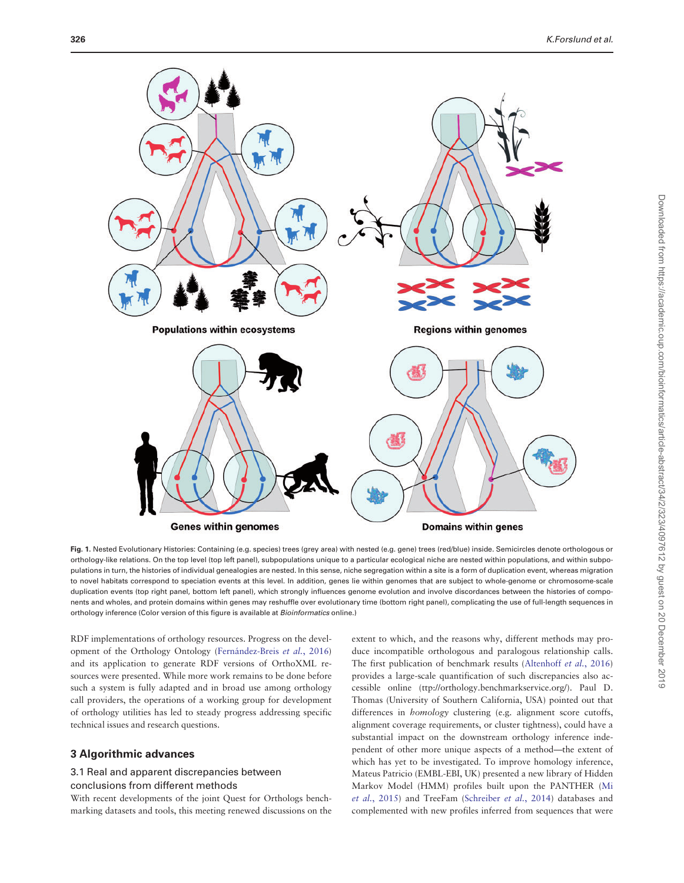

Fig. 1. Nested Evolutionary Histories: Containing (e.g. species) trees (grey area) with nested (e.g. gene) trees (red/blue) inside. Semicircles denote orthologous or orthology-like relations. On the top level (top left panel), subpopulations unique to a particular ecological niche are nested within populations, and within subpopulations in turn, the histories of individual genealogies are nested. In this sense, niche segregation within a site is a form of duplication event, whereas migration to novel habitats correspond to speciation events at this level. In addition, genes lie within genomes that are subject to whole-genome or chromosome-scale duplication events (top right panel, bottom left panel), which strongly influences genome evolution and involve discordances between the histories of components and wholes, and protein domains within genes may reshuffle over evolutionary time (bottom right panel), complicating the use of full-length sequences in orthology inference (Color version of this figure is available at *Bioinformatics* online.)

RDF implementations of orthology resources. Progress on the development of the Orthology Ontology (Fernández-Breis et al., 2016) and its application to generate RDF versions of OrthoXML resources were presented. While more work remains to be done before such a system is fully adapted and in broad use among orthology call providers, the operations of a working group for development of orthology utilities has led to steady progress addressing specific technical issues and research questions.

## 3 Algorithmic advances

### 3.1 Real and apparent discrepancies between conclusions from different methods

With recent developments of the joint Quest for Orthologs benchmarking datasets and tools, this meeting renewed discussions on the extent to which, and the reasons why, different methods may produce incompatible orthologous and paralogous relationship calls. The first publication of benchmark results (Altenhoff et al., 2016) provides a large-scale quantification of such discrepancies also accessible online (ttp://orthology.benchmarkservice.org/). Paul D. Thomas (University of Southern California, USA) pointed out that differences in homology clustering (e.g. alignment score cutoffs, alignment coverage requirements, or cluster tightness), could have a substantial impact on the downstream orthology inference independent of other more unique aspects of a method—the extent of which has yet to be investigated. To improve homology inference, Mateus Patricio (EMBL-EBI, UK) presented a new library of Hidden Markov Model (HMM) profiles built upon the PANTHER (Mi et al., 2015) and TreeFam (Schreiber et al., 2014) databases and complemented with new profiles inferred from sequences that were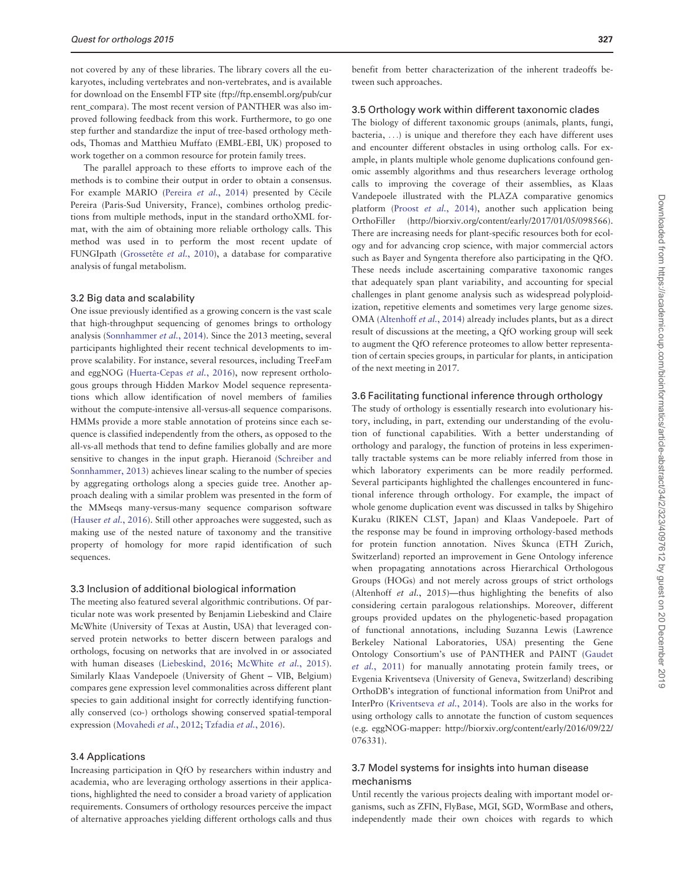not covered by any of these libraries. The library covers all the eukaryotes, including vertebrates and non-vertebrates, and is available for download on the Ensembl FTP site [\(ftp://ftp.ensembl.org/pub/cur](http://ftp://ftp.ensembl.org/pub/current_compara) [rent\\_compara\)](http://ftp://ftp.ensembl.org/pub/current_compara). The most recent version of PANTHER was also improved following feedback from this work. Furthermore, to go one step further and standardize the input of tree-based orthology methods, Thomas and Matthieu Muffato (EMBL-EBI, UK) proposed to work together on a common resource for protein family trees.

The parallel approach to these efforts to improve each of the methods is to combine their output in order to obtain a consensus. For example MARIO (Pereira et al., 2014) presented by Cécile Pereira (Paris-Sud University, France), combines ortholog predictions from multiple methods, input in the standard orthoXML format, with the aim of obtaining more reliable orthology calls. This method was used in to perform the most recent update of FUNGIpath (Grossetête et al., 2010), a database for comparative analysis of fungal metabolism.

#### 3.2 Big data and scalability

One issue previously identified as a growing concern is the vast scale that high-throughput sequencing of genomes brings to orthology analysis (Sonnhammer et al., 2014). Since the 2013 meeting, several participants highlighted their recent technical developments to improve scalability. For instance, several resources, including TreeFam and eggNOG (Huerta-Cepas et al., 2016), now represent orthologous groups through Hidden Markov Model sequence representations which allow identification of novel members of families without the compute-intensive all-versus-all sequence comparisons. HMMs provide a more stable annotation of proteins since each sequence is classified independently from the others, as opposed to the all-vs-all methods that tend to define families globally and are more sensitive to changes in the input graph. Hieranoid (Schreiber and Sonnhammer, 2013) achieves linear scaling to the number of species by aggregating orthologs along a species guide tree. Another approach dealing with a similar problem was presented in the form of the MMseqs many-versus-many sequence comparison software (Hauser et al., 2016). Still other approaches were suggested, such as making use of the nested nature of taxonomy and the transitive property of homology for more rapid identification of such sequences.

#### 3.3 Inclusion of additional biological information

The meeting also featured several algorithmic contributions. Of particular note was work presented by Benjamin Liebeskind and Claire McWhite (University of Texas at Austin, USA) that leveraged conserved protein networks to better discern between paralogs and orthologs, focusing on networks that are involved in or associated with human diseases (Liebeskind, 2016; McWhite et al., 2015). Similarly Klaas Vandepoele (University of Ghent – VIB, Belgium) compares gene expression level commonalities across different plant species to gain additional insight for correctly identifying functionally conserved (co-) orthologs showing conserved spatial-temporal expression (Movahedi et al., 2012; Tzfadia et al., 2016).

#### 3.4 Applications

Increasing participation in QfO by researchers within industry and academia, who are leveraging orthology assertions in their applications, highlighted the need to consider a broad variety of application requirements. Consumers of orthology resources perceive the impact of alternative approaches yielding different orthologs calls and thus

benefit from better characterization of the inherent tradeoffs between such approaches.

#### 3.5 Orthology work within different taxonomic clades

The biology of different taxonomic groups (animals, plants, fungi, bacteria, ...) is unique and therefore they each have different uses and encounter different obstacles in using ortholog calls. For example, in plants multiple whole genome duplications confound genomic assembly algorithms and thus researchers leverage ortholog calls to improving the coverage of their assemblies, as Klaas Vandepoele illustrated with the PLAZA comparative genomics platform (Proost et al., 2014), another such application being OrthoFiller [\(http://biorxiv.org/content/early/2017/01/05/098566](http://biorxiv.org/content/early/2017/01/05/098566)). There are increasing needs for plant-specific resources both for ecology and for advancing crop science, with major commercial actors such as Bayer and Syngenta therefore also participating in the QfO. These needs include ascertaining comparative taxonomic ranges that adequately span plant variability, and accounting for special challenges in plant genome analysis such as widespread polyploidization, repetitive elements and sometimes very large genome sizes. OMA (Altenhoff et al., 2014) already includes plants, but as a direct result of discussions at the meeting, a QfO working group will seek to augment the QfO reference proteomes to allow better representation of certain species groups, in particular for plants, in anticipation of the next meeting in 2017.

#### 3.6 Facilitating functional inference through orthology

The study of orthology is essentially research into evolutionary history, including, in part, extending our understanding of the evolution of functional capabilities. With a better understanding of orthology and paralogy, the function of proteins in less experimentally tractable systems can be more reliably inferred from those in which laboratory experiments can be more readily performed. Several participants highlighted the challenges encountered in functional inference through orthology. For example, the impact of whole genome duplication event was discussed in talks by Shigehiro Kuraku (RIKEN CLST, Japan) and Klaas Vandepoele. Part of the response may be found in improving orthology-based methods for protein function annotation. Nives Škunca (ETH Zurich, Switzerland) reported an improvement in Gene Ontology inference when propagating annotations across Hierarchical Orthologous Groups (HOGs) and not merely across groups of strict orthologs (Altenhoff et al., 2015)—thus highlighting the benefits of also considering certain paralogous relationships. Moreover, different groups provided updates on the phylogenetic-based propagation of functional annotations, including Suzanna Lewis (Lawrence Berkeley National Laboratories, USA) presenting the Gene Ontology Consortium's use of PANTHER and PAINT (Gaudet et al., 2011) for manually annotating protein family trees, or Evgenia Kriventseva (University of Geneva, Switzerland) describing OrthoDB's integration of functional information from UniProt and InterPro (Kriventseva et al., 2014). Tools are also in the works for using orthology calls to annotate the function of custom sequences (e.g. eggNOG-mapper: [http://biorxiv.org/content/early/2016/09/22/](http://biorxiv.org/content/early/2016/09/22/076331) [076331\)](http://biorxiv.org/content/early/2016/09/22/076331).

## 3.7 Model systems for insights into human disease mechanisms

Until recently the various projects dealing with important model organisms, such as ZFIN, FlyBase, MGI, SGD, WormBase and others, independently made their own choices with regards to which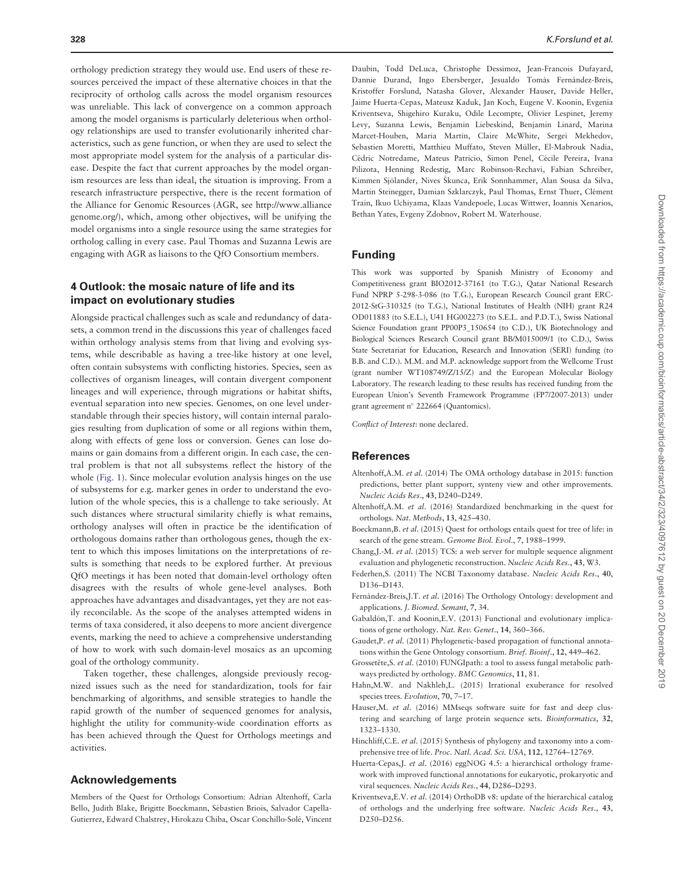orthology prediction strategy they would use. End users of these resources perceived the impact of these alternative choices in that the reciprocity of ortholog calls across the model organism resources was unreliable. This lack of convergence on a common approach among the model organisms is particularly deleterious when orthology relationships are used to transfer evolutionarily inherited characteristics, such as gene function, or when they are used to select the most appropriate model system for the analysis of a particular disease. Despite the fact that current approaches by the model organism resources are less than ideal, the situation is improving. From a research infrastructure perspective, there is the recent formation of the Alliance for Genomic Resources (AGR, see [http://www.alliance](http://www.alliancegenome.org/) [genome.org/\)](http://www.alliancegenome.org/), which, among other objectives, will be unifying the model organisms into a single resource using the same strategies for ortholog calling in every case. Paul Thomas and Suzanna Lewis are engaging with AGR as liaisons to the QfO Consortium members.

# 4 Outlook: the mosaic nature of life and its impact on evolutionary studies

Alongside practical challenges such as scale and redundancy of datasets, a common trend in the discussions this year of challenges faced within orthology analysis stems from that living and evolving systems, while describable as having a tree-like history at one level, often contain subsystems with conflicting histories. Species, seen as collectives of organism lineages, will contain divergent component lineages and will experience, through migrations or habitat shifts, eventual separation into new species. Genomes, on one level understandable through their species history, will contain internal paralogies resulting from duplication of some or all regions within them, along with effects of gene loss or conversion. Genes can lose domains or gain domains from a different origin. In each case, the central problem is that not all subsystems reflect the history of the whole (Fig. 1). Since molecular evolution analysis hinges on the use of subsystems for e.g. marker genes in order to understand the evolution of the whole species, this is a challenge to take seriously. At such distances where structural similarity chiefly is what remains, orthology analyses will often in practice be the identification of orthologous domains rather than orthologous genes, though the extent to which this imposes limitations on the interpretations of results is something that needs to be explored further. At previous QfO meetings it has been noted that domain-level orthology often disagrees with the results of whole gene-level analyses. Both approaches have advantages and disadvantages, yet they are not easily reconcilable. As the scope of the analyses attempted widens in terms of taxa considered, it also deepens to more ancient divergence events, marking the need to achieve a comprehensive understanding of how to work with such domain-level mosaics as an upcoming goal of the orthology community.

Taken together, these challenges, alongside previously recognized issues such as the need for standardization, tools for fair benchmarking of algorithms, and sensible strategies to handle the rapid growth of the number of sequenced genomes for analysis, highlight the utility for community-wide coordination efforts as has been achieved through the Quest for Orthologs meetings and activities.

### Acknowledgements

Members of the Quest for Orthologs Consortium: Adrian Altenhoff, Carla Bello, Judith Blake, Brigitte Boeckmann, Sébastien Briois, Salvador Capella-Gutierrez, Edward Chalstrey, Hirokazu Chiba, Oscar Conchillo-Solé, Vincent

Daubin, Todd DeLuca, Christophe Dessimoz, Jean-Francois Dufayard, Dannie Durand, Ingo Ebersberger, Jesualdo Tomás Fernández-Breis, Kristoffer Forslund, Natasha Glover, Alexander Hauser, Davide Heller, Jaime Huerta-Cepas, Mateusz Kaduk, Jan Koch, Eugene V. Koonin, Evgenia Kriventseva, Shigehiro Kuraku, Odile Lecompte, Olivier Lespinet, Jeremy Levy, Suzanna Lewis, Benjamin Liebeskind, Benjamin Linard, Marina Marcet-Houben, Maria Martin, Claire McWhite, Sergei Mekhedov, Sebastien Moretti, Matthieu Muffato, Steven Müller, El-Mabrouk Nadia, Cédric Notredame, Mateus Patricio, Simon Penel, Cécile Pereira, Ivana Pilizota, Henning Redestig, Marc Robinson-Rechavi, Fabian Schreiber, Kimmen Sjölander, Nives Škunca, Erik Sonnhammer, Alan Sousa da Silva, Martin Steinegger, Damian Szklarczyk, Paul Thomas, Ernst Thuer, Clément Train, Ikuo Uchiyama, Klaas Vandepoele, Lucas Wittwer, Ioannis Xenarios, Bethan Yates, Evgeny Zdobnov, Robert M. Waterhouse.

#### Funding

This work was supported by Spanish Ministry of Economy and Competitiveness grant BIO2012-37161 (to T.G.), Qatar National Research Fund NPRP 5-298-3-086 (to T.G.), European Research Council grant ERC-2012-StG-310325 (to T.G.), National Institutes of Health (NIH) grant R24 OD011883 (to S.E.L.), U41 HG002273 (to S.E.L. and P.D.T.), Swiss National Science Foundation grant PP00P3\_150654 (to C.D.), UK Biotechnology and Biological Sciences Research Council grant BB/M015009/1 (to C.D.), Swiss State Secretariat for Education, Research and Innovation (SERI) funding (to B.B. and C.D.). M.M. and M.P. acknowledge support from the Wellcome Trust (grant number WT108749/Z/15/Z) and the European Molecular Biology Laboratory. The research leading to these results has received funding from the European Union's Seventh Framework Programme (FP7/2007-2013) under grant agreement n° 222664 (Quantomics).

Conflict of Interest: none declared.

#### **References**

- Altenhoff,A.M. et al. (2014) The OMA orthology database in 2015: function predictions, better plant support, synteny view and other improvements. Nucleic Acids Res., 43, D240–D249.
- Altenhoff,A.M. et al. (2016) Standardized benchmarking in the quest for orthologs. Nat. Methods, 13, 425–430.
- Boeckmann,B. et al. (2015) Quest for orthologs entails quest for tree of life: in search of the gene stream. Genome Biol. Evol., 7, 1988-1999.
- Chang,J.-M. et al. (2015) TCS: a web server for multiple sequence alignment evaluation and phylogenetic reconstruction. Nucleic Acids Res., 43, W3.
- Federhen,S. (2011) The NCBI Taxonomy database. Nucleic Acids Res., 40, D136–D143.
- Fernández-Breis,J.T. et al. (2016) The Orthology Ontology: development and applications. J. Biomed. Semant, 7, 34.
- Gabaldón,T. and Koonin,E.V. (2013) Functional and evolutionary implications of gene orthology. Nat. Rev. Genet., 14, 360-366.
- Gaudet,P. et al. (2011) Phylogenetic-based propagation of functional annotations within the Gene Ontology consortium. Brief. Bioinf., 12, 449–462.
- Grossetête, S. et al. (2010) FUNGIpath: a tool to assess fungal metabolic pathways predicted by orthology. BMC Genomics, 11, 81.
- Hahn,M.W. and Nakhleh,L. (2015) Irrational exuberance for resolved species trees. Evolution, 70, 7-17.
- Hauser, M. et al. (2016) MMseqs software suite for fast and deep clustering and searching of large protein sequence sets. Bioinformatics, 32, 1323–1330.
- Hinchliff,C.E. et al. (2015) Synthesis of phylogeny and taxonomy into a comprehensive tree of life. Proc. Natl. Acad. Sci. USA, 112, 12764-12769.
- Huerta-Cepas,J. et al. (2016) eggNOG 4.5: a hierarchical orthology framework with improved functional annotations for eukaryotic, prokaryotic and viral sequences. Nucleic Acids Res., 44, D286–D293.
- Kriventseva,E.V. et al. (2014) OrthoDB v8: update of the hierarchical catalog of orthologs and the underlying free software. Nucleic Acids Res., 43, D250–D256.